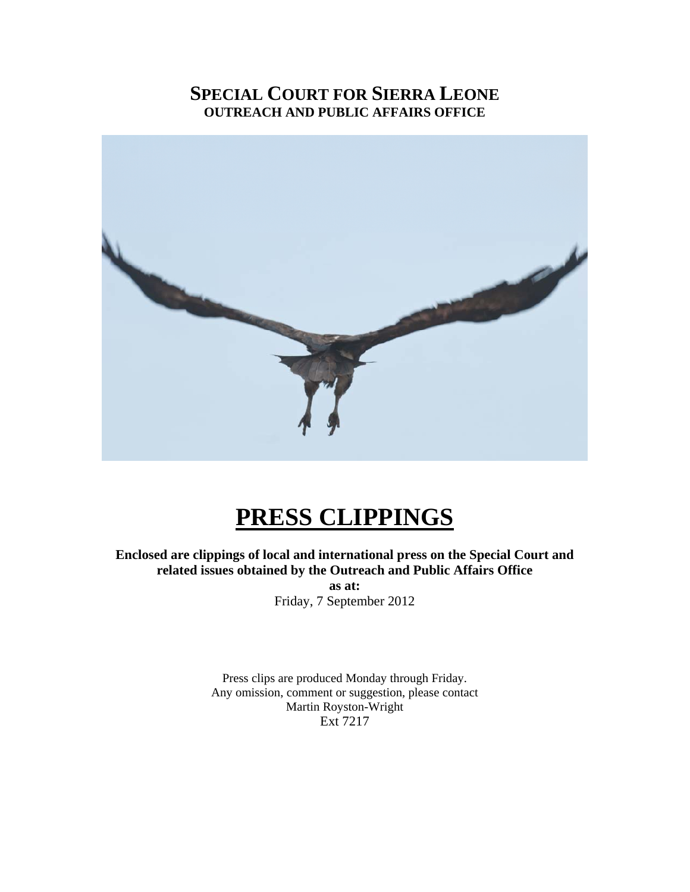### **SPECIAL COURT FOR SIERRA LEONE OUTREACH AND PUBLIC AFFAIRS OFFICE**



## **PRESS CLIPPINGS**

**Enclosed are clippings of local and international press on the Special Court and related issues obtained by the Outreach and Public Affairs Office** 

> **as at:**  Friday, 7 September 2012

Press clips are produced Monday through Friday. Any omission, comment or suggestion, please contact Martin Royston-Wright Ext 7217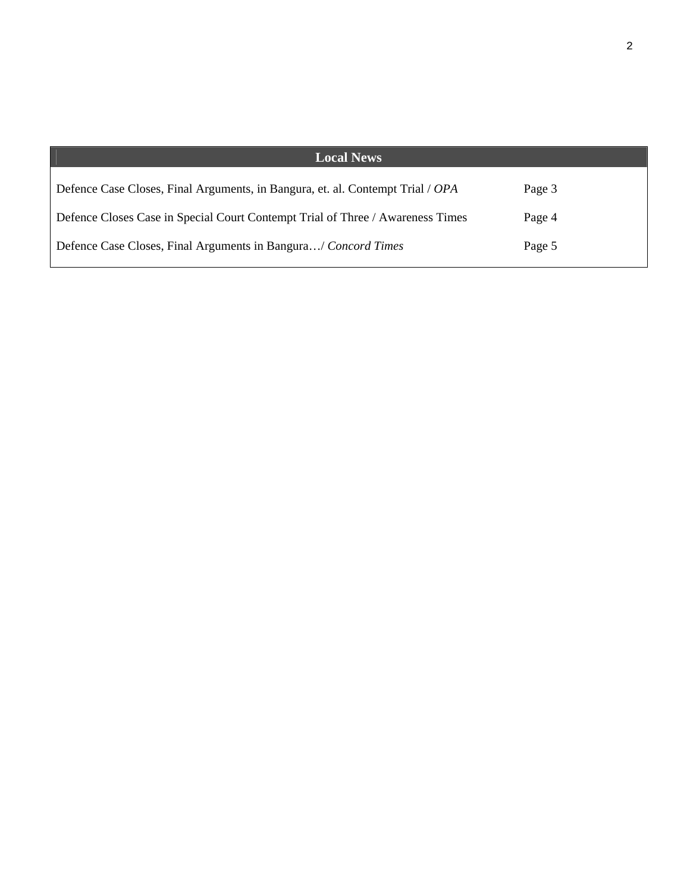| <b>Local News</b>                                                              |        |
|--------------------------------------------------------------------------------|--------|
| Defence Case Closes, Final Arguments, in Bangura, et. al. Contempt Trial / OPA | Page 3 |
| Defence Closes Case in Special Court Contempt Trial of Three / Awareness Times | Page 4 |
| Defence Case Closes, Final Arguments in Bangura/ Concord Times                 | Page 5 |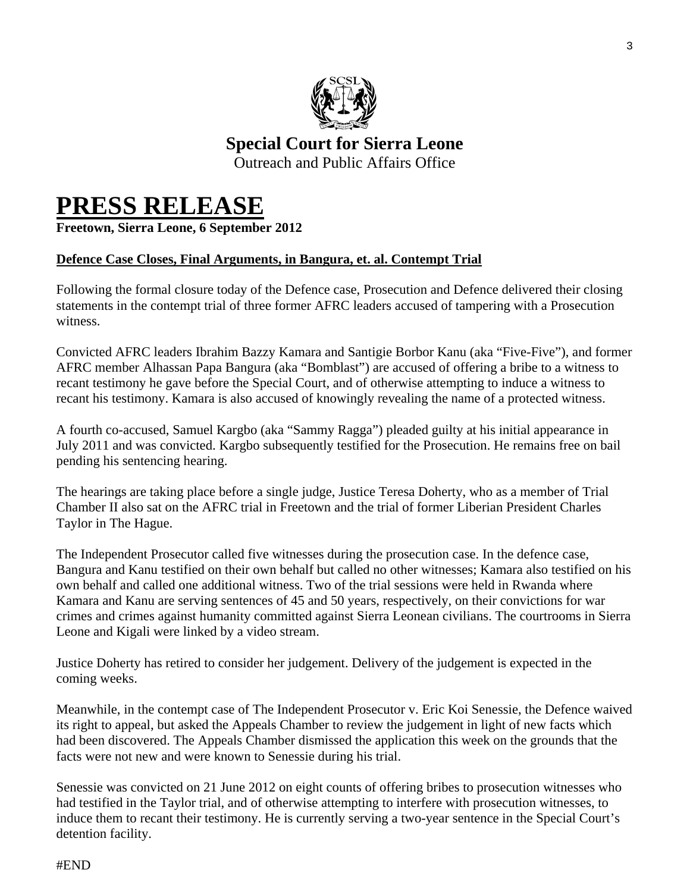

### **Special Court for Sierra Leone**  Outreach and Public Affairs Office

## **PRESS RELEASE Freetown, Sierra Leone, 6 September 2012**

#### **Defence Case Closes, Final Arguments, in Bangura, et. al. Contempt Trial**

Following the formal closure today of the Defence case, Prosecution and Defence delivered their closing statements in the contempt trial of three former AFRC leaders accused of tampering with a Prosecution witness.

Convicted AFRC leaders Ibrahim Bazzy Kamara and Santigie Borbor Kanu (aka "Five-Five"), and former AFRC member Alhassan Papa Bangura (aka "Bomblast") are accused of offering a bribe to a witness to recant testimony he gave before the Special Court, and of otherwise attempting to induce a witness to recant his testimony. Kamara is also accused of knowingly revealing the name of a protected witness.

A fourth co-accused, Samuel Kargbo (aka "Sammy Ragga") pleaded guilty at his initial appearance in July 2011 and was convicted. Kargbo subsequently testified for the Prosecution. He remains free on bail pending his sentencing hearing.

The hearings are taking place before a single judge, Justice Teresa Doherty, who as a member of Trial Chamber II also sat on the AFRC trial in Freetown and the trial of former Liberian President Charles Taylor in The Hague.

The Independent Prosecutor called five witnesses during the prosecution case. In the defence case, Bangura and Kanu testified on their own behalf but called no other witnesses; Kamara also testified on his own behalf and called one additional witness. Two of the trial sessions were held in Rwanda where Kamara and Kanu are serving sentences of 45 and 50 years, respectively, on their convictions for war crimes and crimes against humanity committed against Sierra Leonean civilians. The courtrooms in Sierra Leone and Kigali were linked by a video stream.

Justice Doherty has retired to consider her judgement. Delivery of the judgement is expected in the coming weeks.

Meanwhile, in the contempt case of The Independent Prosecutor v. Eric Koi Senessie, the Defence waived its right to appeal, but asked the Appeals Chamber to review the judgement in light of new facts which had been discovered. The Appeals Chamber dismissed the application this week on the grounds that the facts were not new and were known to Senessie during his trial.

Senessie was convicted on 21 June 2012 on eight counts of offering bribes to prosecution witnesses who had testified in the Taylor trial, and of otherwise attempting to interfere with prosecution witnesses, to induce them to recant their testimony. He is currently serving a two-year sentence in the Special Court's detention facility.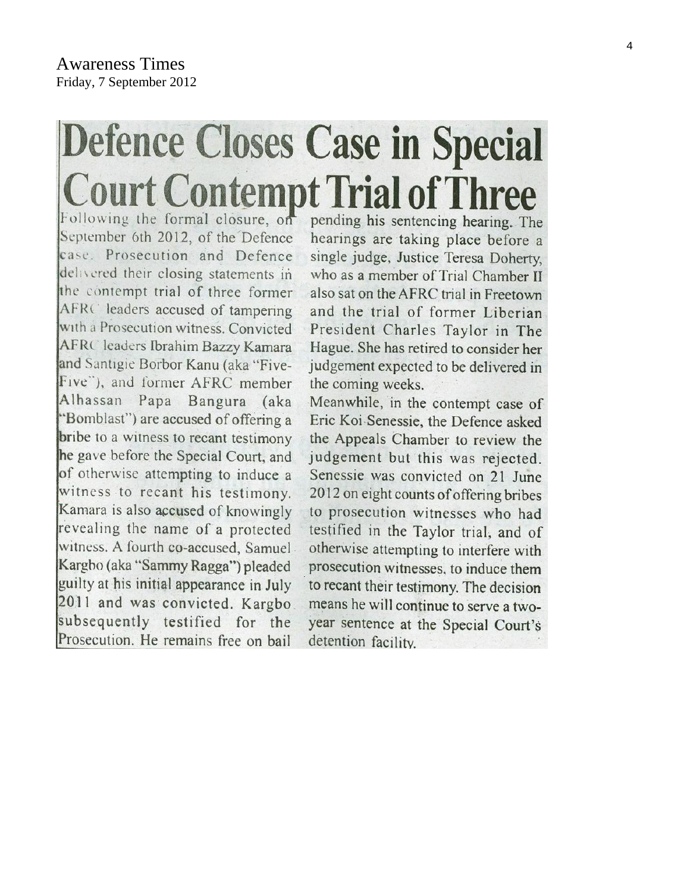# **Defence Closes Case in Special Court Contempt Trial of Three**

Following the formal closure, on September 6th 2012, of the Defence case. Prosecution and Defence delivered their closing statements in the contempt trial of three former AFRC leaders accused of tampering with a Prosecution witness. Convicted AFRC leaders Ibrahim Bazzy Kamara and Santigie Borbor Kanu (aka "Five-Five"), and former AFRC member Alhassan Papa Bangura (aka "Bomblast") are accused of offering a bribe to a witness to recant testimony he gave before the Special Court, and of otherwise attempting to induce a witness to recant his testimony. Kamara is also accused of knowingly revealing the name of a protected witness. A fourth co-accused. Samuel Kargbo (aka "Sammy Ragga") pleaded guilty at his initial appearance in July 2011 and was convicted. Kargbo subsequently testified for the Prosecution. He remains free on bail

pending his sentencing hearing. The hearings are taking place before a single judge, Justice Teresa Doherty, who as a member of Trial Chamber II also sat on the AFRC trial in Freetown and the trial of former Liberian President Charles Taylor in The Hague. She has retired to consider her judgement expected to be delivered in the coming weeks.

Meanwhile, in the contempt case of Eric Koi Senessie, the Defence asked the Appeals Chamber to review the judgement but this was rejected. Senessie was convicted on 21 June 2012 on eight counts of offering bribes to prosecution witnesses who had testified in the Taylor trial, and of otherwise attempting to interfere with prosecution witnesses, to induce them to recant their testimony. The decision means he will continue to serve a twoyear sentence at the Special Court's detention facility.